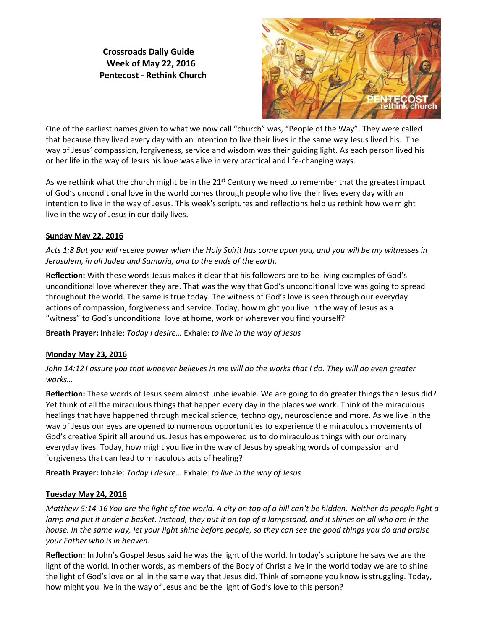**Crossroads Daily Guide Week of May 22, 2016 Pentecost - Rethink Church**



One of the earliest names given to what we now call "church" was, "People of the Way". They were called that because they lived every day with an intention to live their lives in the same way Jesus lived his. The way of Jesus' compassion, forgiveness, service and wisdom was their guiding light. As each person lived his or her life in the way of Jesus his love was alive in very practical and life-changing ways.

As we rethink what the church might be in the 21<sup>st</sup> Century we need to remember that the greatest impact of God's unconditional love in the world comes through people who live their lives every day with an intention to live in the way of Jesus. This week's scriptures and reflections help us rethink how we might live in the way of Jesus in our daily lives.

# **Sunday May 22, 2016**

*Acts 1:8 But you will receive power when the Holy Spirit has come upon you, and you will be my witnesses in Jerusalem, in all Judea and Samaria, and to the ends of the earth.*

**Reflection:** With these words Jesus makes it clear that his followers are to be living examples of God's unconditional love wherever they are. That was the way that God's unconditional love was going to spread throughout the world. The same is true today. The witness of God's love is seen through our everyday actions of compassion, forgiveness and service. Today, how might you live in the way of Jesus as a "witness" to God's unconditional love at home, work or wherever you find yourself?

**Breath Prayer:** Inhale: *Today I desire…* Exhale: *to live in the way of Jesus*

# **Monday May 23, 2016**

*John 14:12 I assure you that whoever believes in me will do the works that I do. They will do even greater works…*

**Reflection:** These words of Jesus seem almost unbelievable. We are going to do greater things than Jesus did? Yet think of all the miraculous things that happen every day in the places we work. Think of the miraculous healings that have happened through medical science, technology, neuroscience and more. As we live in the way of Jesus our eyes are opened to numerous opportunities to experience the miraculous movements of God's creative Spirit all around us. Jesus has empowered us to do miraculous things with our ordinary everyday lives. Today, how might you live in the way of Jesus by speaking words of compassion and forgiveness that can lead to miraculous acts of healing?

**Breath Prayer:** Inhale: *Today I desire…* Exhale: *to live in the way of Jesus*

# **Tuesday May 24, 2016**

*Matthew 5:14-16 You are the light of the world. A city on top of a hill can't be hidden. Neither do people light a lamp and put it under a basket. Instead, they put it on top of a lampstand, and it shines on all who are in the house. In the same way, let your light shine before people, so they can see the good things you do and praise your Father who is in heaven.*

**Reflection:** In John's Gospel Jesus said he was the light of the world. In today's scripture he says we are the light of the world. In other words, as members of the Body of Christ alive in the world today we are to shine the light of God's love on all in the same way that Jesus did. Think of someone you know is struggling. Today, how might you live in the way of Jesus and be the light of God's love to this person?